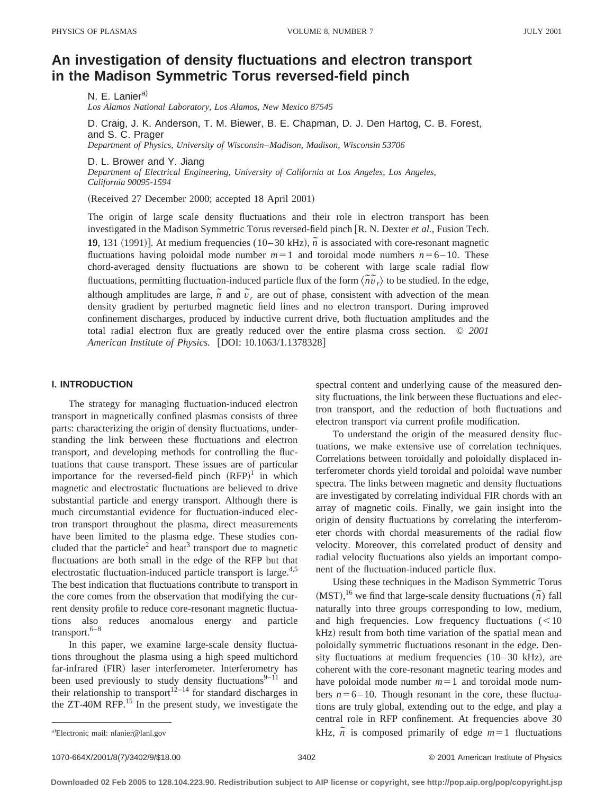# **An investigation of density fluctuations and electron transport in the Madison Symmetric Torus reversed-field pinch**

N. E. Lanier<sup>a)</sup> *Los Alamos National Laboratory, Los Alamos, New Mexico 87545*

D. Craig, J. K. Anderson, T. M. Biewer, B. E. Chapman, D. J. Den Hartog, C. B. Forest, and S. C. Prager *Department of Physics, University of Wisconsin*–*Madison, Madison, Wisconsin 53706*

D. L. Brower and Y. Jiang

*Department of Electrical Engineering, University of California at Los Angeles, Los Angeles, California 90095-1594*

(Received 27 December 2000; accepted 18 April 2001)

The origin of large scale density fluctuations and their role in electron transport has been investigated in the Madison Symmetric Torus reversed-field pinch [R. N. Dexter *et al.*, Fusion Tech. **19**, 131 (1991)]. At medium frequencies (10–30 kHz),  $\tilde{n}$  is associated with core-resonant magnetic fluctuations having poloidal mode number  $m=1$  and toroidal mode numbers  $n=6$ –10. These chord-averaged density fluctuations are shown to be coherent with large scale radial flow fluctuations, permitting fluctuation-induced particle flux of the form  $\langle \tilde{n} \tilde{v}_r \rangle$  to be studied. In the edge, although amplitudes are large,  $\tilde{n}$  and  $\tilde{v}_r$  are out of phase, consistent with advection of the mean density gradient by perturbed magnetic field lines and no electron transport. During improved confinement discharges, produced by inductive current drive, both fluctuation amplitudes and the total radial electron flux are greatly reduced over the entire plasma cross section. © *2001 American Institute of Physics.* [DOI: 10.1063/1.1378328]

## **I. INTRODUCTION**

The strategy for managing fluctuation-induced electron transport in magnetically confined plasmas consists of three parts: characterizing the origin of density fluctuations, understanding the link between these fluctuations and electron transport, and developing methods for controlling the fluctuations that cause transport. These issues are of particular importance for the reversed-field pinch  $(RFP)^1$  in which magnetic and electrostatic fluctuations are believed to drive substantial particle and energy transport. Although there is much circumstantial evidence for fluctuation-induced electron transport throughout the plasma, direct measurements have been limited to the plasma edge. These studies concluded that the particle<sup>2</sup> and heat<sup>3</sup> transport due to magnetic fluctuations are both small in the edge of the RFP but that electrostatic fluctuation-induced particle transport is large.<sup>4,5</sup> The best indication that fluctuations contribute to transport in the core comes from the observation that modifying the current density profile to reduce core-resonant magnetic fluctuations also reduces anomalous energy and particle transport. $6-8$ 

In this paper, we examine large-scale density fluctuations throughout the plasma using a high speed multichord far-infrared (FIR) laser interferometer. Interferometry has been used previously to study density fluctuations<sup>9–11</sup> and their relationship to transport<sup>12–14</sup> for standard discharges in the ZT-40M RFP.<sup>15</sup> In the present study, we investigate the spectral content and underlying cause of the measured density fluctuations, the link between these fluctuations and electron transport, and the reduction of both fluctuations and electron transport via current profile modification.

To understand the origin of the measured density fluctuations, we make extensive use of correlation techniques. Correlations between toroidally and poloidally displaced interferometer chords yield toroidal and poloidal wave number spectra. The links between magnetic and density fluctuations are investigated by correlating individual FIR chords with an array of magnetic coils. Finally, we gain insight into the origin of density fluctuations by correlating the interferometer chords with chordal measurements of the radial flow velocity. Moreover, this correlated product of density and radial velocity fluctuations also yields an important component of the fluctuation-induced particle flux.

Using these techniques in the Madison Symmetric Torus  $(MST)$ , <sup>16</sup> we find that large-scale density fluctuations  $(\tilde{n})$  fall naturally into three groups corresponding to low, medium, and high frequencies. Low frequency fluctuations  $(<10$ kHz) result from both time variation of the spatial mean and poloidally symmetric fluctuations resonant in the edge. Density fluctuations at medium frequencies  $(10-30 \text{ kHz})$ , are coherent with the core-resonant magnetic tearing modes and have poloidal mode number  $m=1$  and toroidal mode numbers  $n=6-10$ . Though resonant in the core, these fluctuations are truly global, extending out to the edge, and play a central role in RFP confinement. At frequencies above 30 a *n* is composed primarily of edge  $m=1$  fluctuations and  $kHz$ ,  $\tilde{n}$  is composed primarily of edge  $m=1$  fluctuations

1070-664X/2001/8(7)/3402/9/\$18.00 © 2001 American Institute of Physics 3402

Electronic mail: nlanier@lanl.gov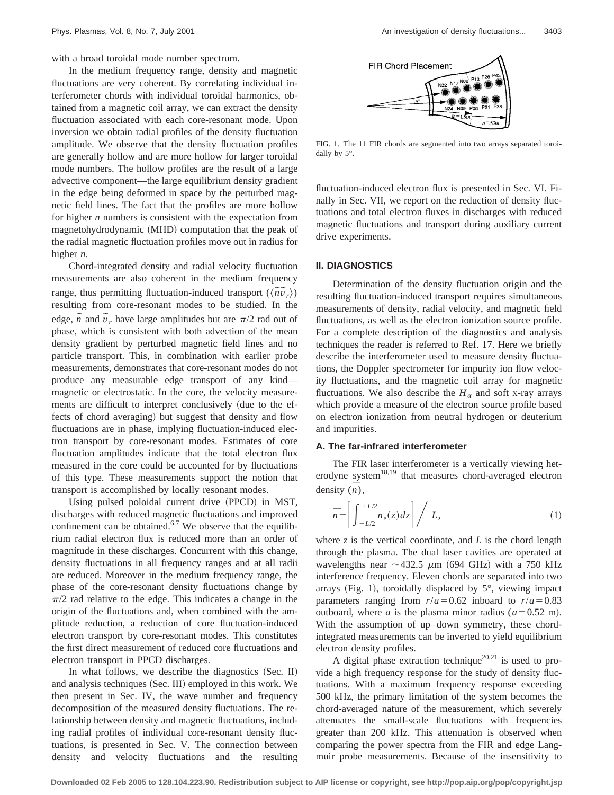with a broad toroidal mode number spectrum.

In the medium frequency range, density and magnetic fluctuations are very coherent. By correlating individual interferometer chords with individual toroidal harmonics, obtained from a magnetic coil array, we can extract the density fluctuation associated with each core-resonant mode. Upon inversion we obtain radial profiles of the density fluctuation amplitude. We observe that the density fluctuation profiles are generally hollow and are more hollow for larger toroidal mode numbers. The hollow profiles are the result of a large advective component—the large equilibrium density gradient in the edge being deformed in space by the perturbed magnetic field lines. The fact that the profiles are more hollow for higher *n* numbers is consistent with the expectation from magnetohydrodynamic (MHD) computation that the peak of the radial magnetic fluctuation profiles move out in radius for higher *n*.

Chord-integrated density and radial velocity fluctuation measurements are also coherent in the medium frequency range, thus permitting fluctuation-induced transport  $(\langle \tilde{n}\tilde{v}_r \rangle)$ resulting from core-resonant modes to be studied. In the edge,  $\tilde{n}$  and  $\tilde{v}_r$  have large amplitudes but are  $\pi/2$  rad out of phase, which is consistent with both advection of the mean density gradient by perturbed magnetic field lines and no particle transport. This, in combination with earlier probe measurements, demonstrates that core-resonant modes do not produce any measurable edge transport of any kind magnetic or electrostatic. In the core, the velocity measurements are difficult to interpret conclusively (due to the effects of chord averaging) but suggest that density and flow fluctuations are in phase, implying fluctuation-induced electron transport by core-resonant modes. Estimates of core fluctuation amplitudes indicate that the total electron flux measured in the core could be accounted for by fluctuations of this type. These measurements support the notion that transport is accomplished by locally resonant modes.

Using pulsed poloidal current drive (PPCD) in MST, discharges with reduced magnetic fluctuations and improved confinement can be obtained. $6.7$  We observe that the equilibrium radial electron flux is reduced more than an order of magnitude in these discharges. Concurrent with this change, density fluctuations in all frequency ranges and at all radii are reduced. Moreover in the medium frequency range, the phase of the core-resonant density fluctuations change by  $\pi/2$  rad relative to the edge. This indicates a change in the origin of the fluctuations and, when combined with the amplitude reduction, a reduction of core fluctuation-induced electron transport by core-resonant modes. This constitutes the first direct measurement of reduced core fluctuations and electron transport in PPCD discharges.

In what follows, we describe the diagnostics  $(Sec. II)$ and analysis techniques (Sec. III) employed in this work. We then present in Sec. IV, the wave number and frequency decomposition of the measured density fluctuations. The relationship between density and magnetic fluctuations, including radial profiles of individual core-resonant density fluctuations, is presented in Sec. V. The connection between density and velocity fluctuations and the resulting



FIG. 1. The 11 FIR chords are segmented into two arrays separated toroidally by 5°.

fluctuation-induced electron flux is presented in Sec. VI. Finally in Sec. VII, we report on the reduction of density fluctuations and total electron fluxes in discharges with reduced magnetic fluctuations and transport during auxiliary current drive experiments.

#### **II. DIAGNOSTICS**

Determination of the density fluctuation origin and the resulting fluctuation-induced transport requires simultaneous measurements of density, radial velocity, and magnetic field fluctuations, as well as the electron ionization source profile. For a complete description of the diagnostics and analysis techniques the reader is referred to Ref. 17. Here we briefly describe the interferometer used to measure density fluctuations, the Doppler spectrometer for impurity ion flow velocity fluctuations, and the magnetic coil array for magnetic fluctuations. We also describe the  $H_a$  and soft x-ray arrays which provide a measure of the electron source profile based on electron ionization from neutral hydrogen or deuterium and impurities.

## **A. The far-infrared interferometer**

The FIR laser interferometer is a vertically viewing heterodyne system<sup>18,19</sup> that measures chord-averaged electron density  $(\overline{n})$ ,

$$
\bar{n} = \left[ \int_{-L/2}^{+L/2} n_e(z) dz \right] / L, \tag{1}
$$

where  $z$  is the vertical coordinate, and  $L$  is the chord length through the plasma. The dual laser cavities are operated at wavelengths near  $\sim$  432.5  $\mu$ m (694 GHz) with a 750 kHz interference frequency. Eleven chords are separated into two arrays (Fig. 1), toroidally displaced by  $5^\circ$ , viewing impact parameters ranging from  $r/a = 0.62$  inboard to  $r/a = 0.83$ outboard, where *a* is the plasma minor radius  $(a=0.52 \text{ m})$ . With the assumption of up–down symmetry, these chordintegrated measurements can be inverted to yield equilibrium electron density profiles.

A digital phase extraction technique<sup>20,21</sup> is used to provide a high frequency response for the study of density fluctuations. With a maximum frequency response exceeding 500 kHz, the primary limitation of the system becomes the chord-averaged nature of the measurement, which severely attenuates the small-scale fluctuations with frequencies greater than 200 kHz. This attenuation is observed when comparing the power spectra from the FIR and edge Langmuir probe measurements. Because of the insensitivity to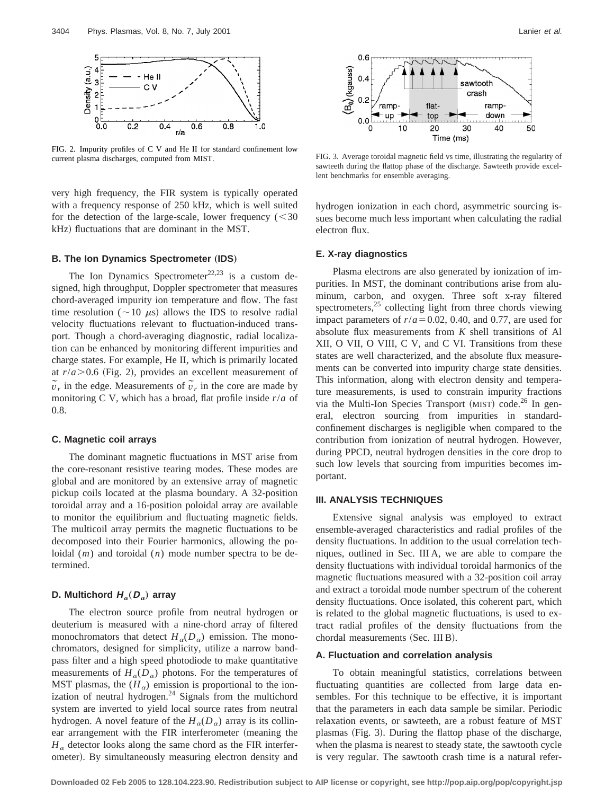

FIG. 2. Impurity profiles of C V and He II for standard confinement low current plasma discharges, computed from MIST. FIG. 3. Average toroidal magnetic field vs time, illustrating the regularity of

very high frequency, the FIR system is typically operated with a frequency response of 250 kHz, which is well suited for the detection of the large-scale, lower frequency  $(< 30$ kHz) fluctuations that are dominant in the MST.

## **B. The Ion Dynamics Spectrometer (IDS)**

The Ion Dynamics Spectrometer<sup>22,23</sup> is a custom designed, high throughput, Doppler spectrometer that measures chord-averaged impurity ion temperature and flow. The fast time resolution ( $\sim$ 10  $\mu$ s) allows the IDS to resolve radial velocity fluctuations relevant to fluctuation-induced transport. Though a chord-averaging diagnostic, radial localization can be enhanced by monitoring different impurities and charge states. For example, He II, which is primarily located at  $r/a$   $>$  0.6 (Fig. 2), provides an excellent measurement of  $\tilde{v}_r$  in the edge. Measurements of  $\tilde{v}_r$  in the core are made by monitoring C V, which has a broad, flat profile inside *r*/*a* of 0.8.

#### **C. Magnetic coil arrays**

The dominant magnetic fluctuations in MST arise from the core-resonant resistive tearing modes. These modes are global and are monitored by an extensive array of magnetic pickup coils located at the plasma boundary. A 32-position toroidal array and a 16-position poloidal array are available to monitor the equilibrium and fluctuating magnetic fields. The multicoil array permits the magnetic fluctuations to be decomposed into their Fourier harmonics, allowing the poloidal (*m*) and toroidal (*n*) mode number spectra to be determined.

## **D.** Multichord  $H_a(D_a)$  array

The electron source profile from neutral hydrogen or deuterium is measured with a nine-chord array of filtered monochromators that detect  $H_{\alpha}(D_{\alpha})$  emission. The monochromators, designed for simplicity, utilize a narrow bandpass filter and a high speed photodiode to make quantitative measurements of  $H_{\alpha}(D_{\alpha})$  photons. For the temperatures of MST plasmas, the  $(H_{\alpha})$  emission is proportional to the ionization of neutral hydrogen.<sup>24</sup> Signals from the multichord system are inverted to yield local source rates from neutral hydrogen. A novel feature of the  $H_a(D_a)$  array is its collinear arrangement with the FIR interferometer (meaning the  $H_{\alpha}$  detector looks along the same chord as the FIR interferometer). By simultaneously measuring electron density and



sawteeth during the flattop phase of the discharge. Sawteeth provide excellent benchmarks for ensemble averaging.

hydrogen ionization in each chord, asymmetric sourcing issues become much less important when calculating the radial electron flux.

## **E. X-ray diagnostics**

Plasma electrons are also generated by ionization of impurities. In MST, the dominant contributions arise from aluminum, carbon, and oxygen. Three soft x-ray filtered spectrometers, $25$  collecting light from three chords viewing impact parameters of  $r/a = 0.02$ , 0.40, and 0.77, are used for absolute flux measurements from *K* shell transitions of Al XII, O VII, O VIII, C V, and C VI. Transitions from these states are well characterized, and the absolute flux measurements can be converted into impurity charge state densities. This information, along with electron density and temperature measurements, is used to constrain impurity fractions via the Multi-Ion Species Transport (MIST) code.<sup>26</sup> In general, electron sourcing from impurities in standardconfinement discharges is negligible when compared to the contribution from ionization of neutral hydrogen. However, during PPCD, neutral hydrogen densities in the core drop to such low levels that sourcing from impurities becomes important.

#### **III. ANALYSIS TECHNIQUES**

Extensive signal analysis was employed to extract ensemble-averaged characteristics and radial profiles of the density fluctuations. In addition to the usual correlation techniques, outlined in Sec. III A, we are able to compare the density fluctuations with individual toroidal harmonics of the magnetic fluctuations measured with a 32-position coil array and extract a toroidal mode number spectrum of the coherent density fluctuations. Once isolated, this coherent part, which is related to the global magnetic fluctuations, is used to extract radial profiles of the density fluctuations from the chordal measurements (Sec. III B).

#### **A. Fluctuation and correlation analysis**

To obtain meaningful statistics, correlations between fluctuating quantities are collected from large data ensembles. For this technique to be effective, it is important that the parameters in each data sample be similar. Periodic relaxation events, or sawteeth, are a robust feature of MST plasmas (Fig. 3). During the flattop phase of the discharge, when the plasma is nearest to steady state, the sawtooth cycle is very regular. The sawtooth crash time is a natural refer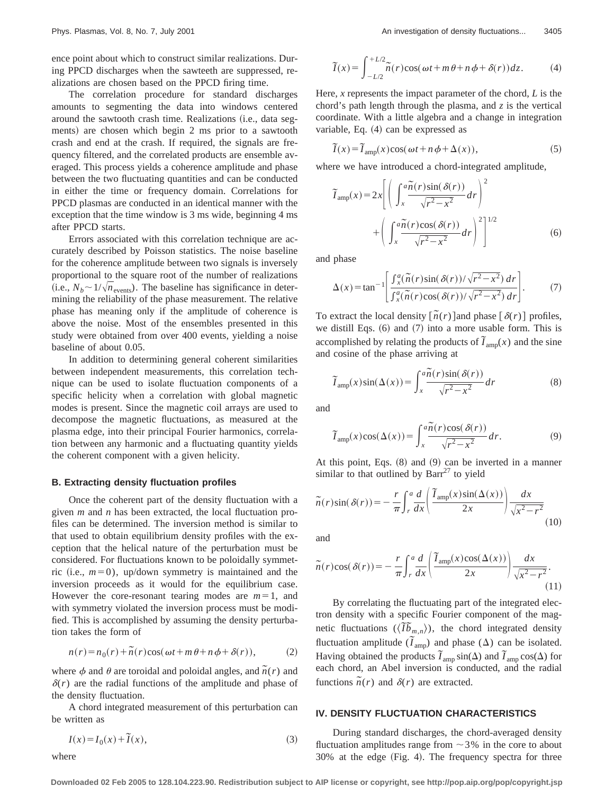ence point about which to construct similar realizations. During PPCD discharges when the sawteeth are suppressed, realizations are chosen based on the PPCD firing time.

The correlation procedure for standard discharges amounts to segmenting the data into windows centered around the sawtooth crash time. Realizations (i.e., data segments) are chosen which begin 2 ms prior to a sawtooth crash and end at the crash. If required, the signals are frequency filtered, and the correlated products are ensemble averaged. This process yields a coherence amplitude and phase between the two fluctuating quantities and can be conducted in either the time or frequency domain. Correlations for PPCD plasmas are conducted in an identical manner with the exception that the time window is 3 ms wide, beginning 4 ms after PPCD starts.

Errors associated with this correlation technique are accurately described by Poisson statistics. The noise baseline for the coherence amplitude between two signals is inversely proportional to the square root of the number of realizations (i.e.,  $N_b \sim 1/\sqrt{n_{\text{events}}}$ ). The baseline has significance in determining the reliability of the phase measurement. The relative phase has meaning only if the amplitude of coherence is above the noise. Most of the ensembles presented in this study were obtained from over 400 events, yielding a noise baseline of about 0.05.

In addition to determining general coherent similarities between independent measurements, this correlation technique can be used to isolate fluctuation components of a specific helicity when a correlation with global magnetic modes is present. Since the magnetic coil arrays are used to decompose the magnetic fluctuations, as measured at the plasma edge, into their principal Fourier harmonics, correlation between any harmonic and a fluctuating quantity yields the coherent component with a given helicity.

#### **B. Extracting density fluctuation profiles**

Once the coherent part of the density fluctuation with a given *m* and *n* has been extracted, the local fluctuation profiles can be determined. The inversion method is similar to that used to obtain equilibrium density profiles with the exception that the helical nature of the perturbation must be considered. For fluctuations known to be poloidally symmetric (i.e.,  $m=0$ ), up/down symmetry is maintained and the inversion proceeds as it would for the equilibrium case. However the core-resonant tearing modes are  $m=1$ , and with symmetry violated the inversion process must be modified. This is accomplished by assuming the density perturbation takes the form of

$$
n(r) = n_0(r) + \tilde{n}(r)\cos(\omega t + m\theta + n\phi + \delta(r)),
$$
 (2)

where  $\phi$  and  $\theta$  are toroidal and poloidal angles, and  $\tilde{n}(r)$  and  $\delta(r)$  are the radial functions of the amplitude and phase of the density fluctuation.

A chord integrated measurement of this perturbation can be written as

$$
I(x) = I_0(x) + \tilde{I}(x),\tag{3}
$$

where

$$
\widetilde{I}(x) = \int_{-L/2}^{+L/2} \widetilde{n}(r) \cos(\omega t + m\theta + n\phi + \delta(r)) dz.
$$
 (4)

Here, *x* represents the impact parameter of the chord, *L* is the chord's path length through the plasma, and *z* is the vertical coordinate. With a little algebra and a change in integration variable, Eq.  $(4)$  can be expressed as

$$
\widetilde{I}(x) = \widetilde{I}_{\text{amp}}(x)\cos(\omega t + n\phi + \Delta(x)),\tag{5}
$$

where we have introduced a chord-integrated amplitude,

$$
\widetilde{I}_{\text{amp}}(x) = 2x \left[ \left( \int_{x}^{a} \frac{\widetilde{n}(r) \sin(\delta(r))}{\sqrt{r^2 - x^2}} dr \right)^2 + \left( \int_{x}^{a} \frac{\widetilde{n}(r) \cos(\delta(r))}{\sqrt{r^2 - x^2}} dr \right)^2 \right]^{1/2}
$$
\n(6)

and phase

$$
\Delta(x) = \tan^{-1} \left[ \frac{\int_x^a (\tilde{n}(r)\sin(\delta(r))/\sqrt{r^2 - x^2}) dr}{\int_x^a (\tilde{n}(r)\cos(\delta(r))/\sqrt{r^2 - x^2}) dr} \right].
$$
 (7)

To extract the local density  $\left[ \tilde{n}(r) \right]$  and phase  $\left[ \delta(r) \right]$  profiles, we distill Eqs.  $(6)$  and  $(7)$  into a more usable form. This is accomplished by relating the products of  $\tilde{I}_{\text{amp}}(x)$  and the sine and cosine of the phase arriving at

$$
\widetilde{I}_{\text{amp}}(x)\sin(\Delta(x)) = \int_{x}^{a}\frac{\widetilde{n}(r)\sin(\delta(r))}{\sqrt{r^2 - x^2}}dr\tag{8}
$$

and

$$
\widetilde{I}_{\text{amp}}(x)\cos(\Delta(x)) = \int_{x}^{a} \frac{\widetilde{n}(r)\cos(\delta(r))}{\sqrt{r^2 - x^2}} dr.
$$
 (9)

At this point, Eqs.  $(8)$  and  $(9)$  can be inverted in a manner similar to that outlined by  $Barr^{27}$  to yield

$$
\widetilde{n}(r)\sin(\delta(r)) = -\frac{r}{\pi} \int_{r}^{a} \frac{d}{dx} \left( \frac{\widetilde{I}_{\text{amp}}(x)\sin(\Delta(x))}{2x} \right) \frac{dx}{\sqrt{x^{2}-r^{2}}} \tag{10}
$$

and

$$
\widetilde{n}(r)\cos(\delta(r)) = -\frac{r}{\pi} \int_{r}^{a} \frac{d}{dx} \left( \frac{\widetilde{I}_{\text{amp}}(x)\cos(\Delta(x))}{2x} \right) \frac{dx}{\sqrt{x^{2}-r^{2}}}.
$$
\n(11)

By correlating the fluctuating part of the integrated electron density with a specific Fourier component of the magnetic fluctuations  $(\langle \tilde{I}\tilde{b}_{m,n} \rangle)$ , the chord integrated density fluctuation amplitude  $(\tilde{I}_{amp})$  and phase ( $\Delta$ ) can be isolated. Having obtained the products  $\tilde{\tau}_{\text{amp}} \sin(\Delta)$  and  $\tilde{\tau}_{\text{amp}} \cos(\Delta)$  for each chord, an Abel inversion is conducted, and the radial functions  $\tilde{n}(r)$  and  $\delta(r)$  are extracted.

## **IV. DENSITY FLUCTUATION CHARACTERISTICS**

During standard discharges, the chord-averaged density fluctuation amplitudes range from  $\sim$  3% in the core to about  $30\%$  at the edge (Fig. 4). The frequency spectra for three

**Downloaded 02 Feb 2005 to 128.104.223.90. Redistribution subject to AIP license or copyright, see http://pop.aip.org/pop/copyright.jsp**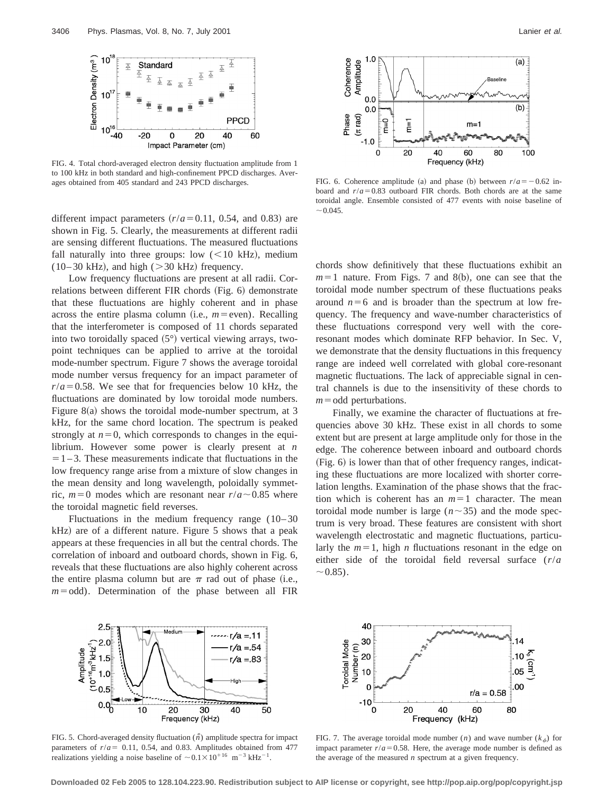

FIG. 4. Total chord-averaged electron density fluctuation amplitude from 1 to 100 kHz in both standard and high-confinement PPCD discharges. Averages obtained from 405 standard and 243 PPCD discharges.

different impact parameters  $(r/a=0.11, 0.54,$  and 0.83) are shown in Fig. 5. Clearly, the measurements at different radii are sensing different fluctuations. The measured fluctuations fall naturally into three groups: low  $(<10$  kHz), medium  $(10-30 \text{ kHz})$ , and high ( $> 30 \text{ kHz}$ ) frequency.

Low frequency fluctuations are present at all radii. Correlations between different FIR chords (Fig. 6) demonstrate that these fluctuations are highly coherent and in phase across the entire plasma column (i.e.,  $m$ =even). Recalling that the interferometer is composed of 11 chords separated into two toroidally spaced  $(5^{\circ})$  vertical viewing arrays, twopoint techniques can be applied to arrive at the toroidal mode-number spectrum. Figure 7 shows the average toroidal mode number versus frequency for an impact parameter of  $r/a = 0.58$ . We see that for frequencies below 10 kHz, the fluctuations are dominated by low toroidal mode numbers. Figure  $8(a)$  shows the toroidal mode-number spectrum, at 3 kHz, for the same chord location. The spectrum is peaked strongly at  $n=0$ , which corresponds to changes in the equilibrium. However some power is clearly present at *n*  $=1-3$ . These measurements indicate that fluctuations in the low frequency range arise from a mixture of slow changes in the mean density and long wavelength, poloidally symmetric,  $m=0$  modes which are resonant near  $r/a \sim 0.85$  where the toroidal magnetic field reverses.

Fluctuations in the medium frequency range  $(10-30)$  $kHz$ ) are of a different nature. Figure 5 shows that a peak appears at these frequencies in all but the central chords. The correlation of inboard and outboard chords, shown in Fig. 6, reveals that these fluctuations are also highly coherent across the entire plasma column but are  $\pi$  rad out of phase (i.e.,  $m =$ odd). Determination of the phase between all FIR



FIG. 6. Coherence amplitude (a) and phase (b) between  $r/a = -0.62$  inboard and  $r/a = 0.83$  outboard FIR chords. Both chords are at the same toroidal angle. Ensemble consisted of 477 events with noise baseline of  $\sim 0.045$ .

chords show definitively that these fluctuations exhibit an  $m=1$  nature. From Figs. 7 and 8(b), one can see that the toroidal mode number spectrum of these fluctuations peaks around  $n=6$  and is broader than the spectrum at low frequency. The frequency and wave-number characteristics of these fluctuations correspond very well with the coreresonant modes which dominate RFP behavior. In Sec. V, we demonstrate that the density fluctuations in this frequency range are indeed well correlated with global core-resonant magnetic fluctuations. The lack of appreciable signal in central channels is due to the insensitivity of these chords to  $m =$ odd perturbations.

Finally, we examine the character of fluctuations at frequencies above 30 kHz. These exist in all chords to some extent but are present at large amplitude only for those in the edge. The coherence between inboard and outboard chords  $(Fig. 6)$  is lower than that of other frequency ranges, indicating these fluctuations are more localized with shorter correlation lengths. Examination of the phase shows that the fraction which is coherent has an  $m=1$  character. The mean toroidal mode number is large ( $n \sim 35$ ) and the mode spectrum is very broad. These features are consistent with short wavelength electrostatic and magnetic fluctuations, particularly the  $m=1$ , high *n* fluctuations resonant in the edge on either side of the toroidal field reversal surface (*r*/*a*  $\sim 0.85$ ).



FIG. 5. Chord-averaged density fluctuation  $(\tilde{n})$  amplitude spectra for impact parameters of  $r/a = 0.11$ , 0.54, and 0.83. Amplitudes obtained from 477 realizations yielding a noise baseline of  $\sim 0.1 \times 10^{116}$  m<sup>-3</sup> kHz<sup>-1</sup>.



FIG. 7. The average toroidal mode number  $(n)$  and wave number  $(k_{\phi})$  for impact parameter  $r/a = 0.58$ . Here, the average mode number is defined as the average of the measured *n* spectrum at a given frequency.

**Downloaded 02 Feb 2005 to 128.104.223.90. Redistribution subject to AIP license or copyright, see http://pop.aip.org/pop/copyright.jsp**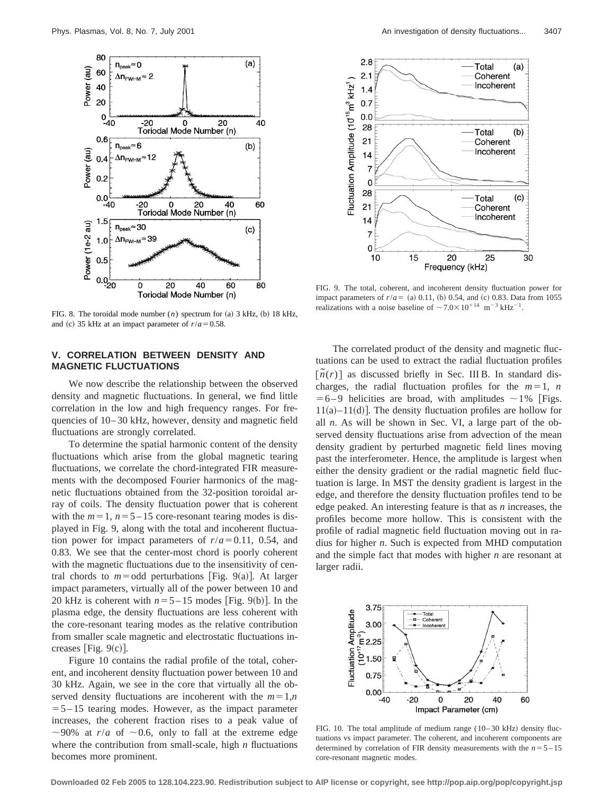

FIG. 8. The toroidal mode number  $(n)$  spectrum for  $(a)$  3 kHz,  $(b)$  18 kHz, and (c) 35 kHz at an impact parameter of  $r/a = 0.58$ .

## **V. CORRELATION BETWEEN DENSITY AND MAGNETIC FLUCTUATIONS**

We now describe the relationship between the observed density and magnetic fluctuations. In general, we find little correlation in the low and high frequency ranges. For frequencies of 10– 30 kHz, however, density and magnetic field fluctuations are strongly correlated.

To determine the spatial harmonic content of the density fluctuations which arise from the global magnetic tearing fluctuations, we correlate the chord-integrated FIR measurements with the decomposed Fourier harmonics of the magnetic fluctuations obtained from the 32-position toroidal array of coils. The density fluctuation power that is coherent with the  $m=1$ ,  $n=5-15$  core-resonant tearing modes is displayed in Fig. 9, along with the total and incoherent fluctuation power for impact parameters of  $r/a = 0.11$ , 0.54, and 0.83. We see that the center-most chord is poorly coherent with the magnetic fluctuations due to the insensitivity of central chords to  $m =$ odd perturbations [Fig. 9(a)]. At larger impact parameters, virtually all of the power between 10 and 20 kHz is coherent with  $n=5-15$  modes [Fig. 9(b)]. In the plasma edge, the density fluctuations are less coherent with the core-resonant tearing modes as the relative contribution from smaller scale magnetic and electrostatic fluctuations increases [Fig.  $9(c)$ ].

Figure 10 contains the radial profile of the total, coherent, and incoherent density fluctuation power between 10 and 30 kHz. Again, we see in the core that virtually all the observed density fluctuations are incoherent with the  $m=1,n$  $= 5 - 15$  tearing modes. However, as the impact parameter increases, the coherent fraction rises to a peak value of  $\sim$ 90% at *r*/*a* of  $\sim$ 0.6, only to fall at the extreme edge where the contribution from small-scale, high *n* fluctuations becomes more prominent.



FIG. 9. The total, coherent, and incoherent density fluctuation power for impact parameters of  $r/a = (a) 0.11$ , (b) 0.54, and (c) 0.83. Data from 1055 realizations with a noise baseline of  $\sim$  7.0 $\times$ 10<sup>+14</sup> m<sup>-3</sup> kHz<sup>-1</sup>.

The correlated product of the density and magnetic fluctuations can be used to extract the radial fluctuation profiles  $[\tilde{n}(r)]$  as discussed briefly in Sec. III B. In standard discharges, the radial fluctuation profiles for the  $m=1$ , *n*  $=6-9$  helicities are broad, with amplitudes  $\sim$  1% [Figs.  $11(a)$ – $11(d)$ ]. The density fluctuation profiles are hollow for all *n*. As will be shown in Sec. VI, a large part of the observed density fluctuations arise from advection of the mean density gradient by perturbed magnetic field lines moving past the interferometer. Hence, the amplitude is largest when either the density gradient or the radial magnetic field fluctuation is large. In MST the density gradient is largest in the edge, and therefore the density fluctuation profiles tend to be edge peaked. An interesting feature is that as *n* increases, the profiles become more hollow. This is consistent with the profile of radial magnetic field fluctuation moving out in radius for higher *n*. Such is expected from MHD computation and the simple fact that modes with higher *n* are resonant at larger radii.



FIG. 10. The total amplitude of medium range  $(10-30 \text{ kHz})$  density fluctuations vs impact parameter. The coherent, and incoherent components are determined by correlation of FIR density measurements with the  $n=5-15$ core-resonant magnetic modes.

**Downloaded 02 Feb 2005 to 128.104.223.90. Redistribution subject to AIP license or copyright, see http://pop.aip.org/pop/copyright.jsp**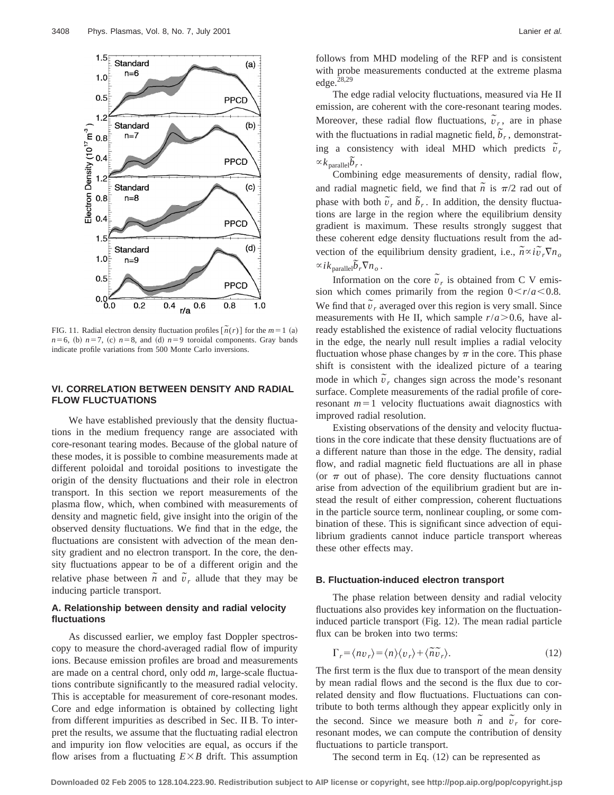

FIG. 11. Radial electron density fluctuation profiles  $[\tilde{n}(r)]$  for the  $m=1$  (a)  $n=6$ , (b)  $n=7$ , (c)  $n=8$ , and (d)  $n=9$  toroidal components. Gray bands indicate profile variations from 500 Monte Carlo inversions.

## **VI. CORRELATION BETWEEN DENSITY AND RADIAL FLOW FLUCTUATIONS**

We have established previously that the density fluctuations in the medium frequency range are associated with core-resonant tearing modes. Because of the global nature of these modes, it is possible to combine measurements made at different poloidal and toroidal positions to investigate the origin of the density fluctuations and their role in electron transport. In this section we report measurements of the plasma flow, which, when combined with measurements of density and magnetic field, give insight into the origin of the observed density fluctuations. We find that in the edge, the fluctuations are consistent with advection of the mean density gradient and no electron transport. In the core, the density fluctuations appear to be of a different origin and the relative phase between  $\tilde{n}$  and  $\tilde{v}_r$  allude that they may be inducing particle transport.

## **A. Relationship between density and radial velocity fluctuations**

As discussed earlier, we employ fast Doppler spectroscopy to measure the chord-averaged radial flow of impurity ions. Because emission profiles are broad and measurements are made on a central chord, only odd *m*, large-scale fluctuations contribute significantly to the measured radial velocity. This is acceptable for measurement of core-resonant modes. Core and edge information is obtained by collecting light from different impurities as described in Sec. II B. To interpret the results, we assume that the fluctuating radial electron and impurity ion flow velocities are equal, as occurs if the flow arises from a fluctuating  $E \times B$  drift. This assumption

follows from MHD modeling of the RFP and is consistent with probe measurements conducted at the extreme plasma edge. $28,29$ 

The edge radial velocity fluctuations, measured via He II emission, are coherent with the core-resonant tearing modes. Moreover, these radial flow fluctuations,  $\tilde{v}_r$ , are in phase with the fluctuations in radial magnetic field,  $\tilde{b}_r$ , demonstrating a consistency with ideal MHD which predicts  $\tilde{v}_r$  $\propto k_{\text{parallel}}\tilde{b}_r$ .

Combining edge measurements of density, radial flow, and radial magnetic field, we find that  $\tilde{n}$  is  $\pi/2$  rad out of phase with both  $\tilde{v}_r$  and  $\tilde{b}_r$ . In addition, the density fluctuations are large in the region where the equilibrium density gradient is maximum. These results strongly suggest that these coherent edge density fluctuations result from the advection of the equilibrium density gradient, i.e.,  $\tilde{n} \propto i\tilde{v}_r \nabla n_o$  $\propto$  *i* $k_{\text{parallel}}\tilde{b}_r\nabla n_o$ .

Information on the core  $\tilde{v}_r$  is obtained from C V emission which comes primarily from the region  $0 < r/a < 0.8$ . We find that  $\tilde{v}_r$  averaged over this region is very small. Since measurements with He II, which sample  $r/a > 0.6$ , have already established the existence of radial velocity fluctuations in the edge, the nearly null result implies a radial velocity fluctuation whose phase changes by  $\pi$  in the core. This phase shift is consistent with the idealized picture of a tearing mode in which  $\tilde{v}_r$  changes sign across the mode's resonant surface. Complete measurements of the radial profile of coreresonant  $m=1$  velocity fluctuations await diagnostics with improved radial resolution.

Existing observations of the density and velocity fluctuations in the core indicate that these density fluctuations are of a different nature than those in the edge. The density, radial flow, and radial magnetic field fluctuations are all in phase (or  $\pi$  out of phase). The core density fluctuations cannot arise from advection of the equilibrium gradient but are instead the result of either compression, coherent fluctuations in the particle source term, nonlinear coupling, or some combination of these. This is significant since advection of equilibrium gradients cannot induce particle transport whereas these other effects may.

#### **B. Fluctuation-induced electron transport**

The phase relation between density and radial velocity fluctuations also provides key information on the fluctuationinduced particle transport  $(Fig. 12)$ . The mean radial particle flux can be broken into two terms:

$$
\Gamma_r = \langle n v_r \rangle = \langle n \rangle \langle v_r \rangle + \langle \tilde{n} \tilde{v}_r \rangle. \tag{12}
$$

The first term is the flux due to transport of the mean density by mean radial flows and the second is the flux due to correlated density and flow fluctuations. Fluctuations can contribute to both terms although they appear explicitly only in the second. Since we measure both  $\tilde{n}$  and  $\tilde{v}_r$  for coreresonant modes, we can compute the contribution of density fluctuations to particle transport.

The second term in Eq.  $(12)$  can be represented as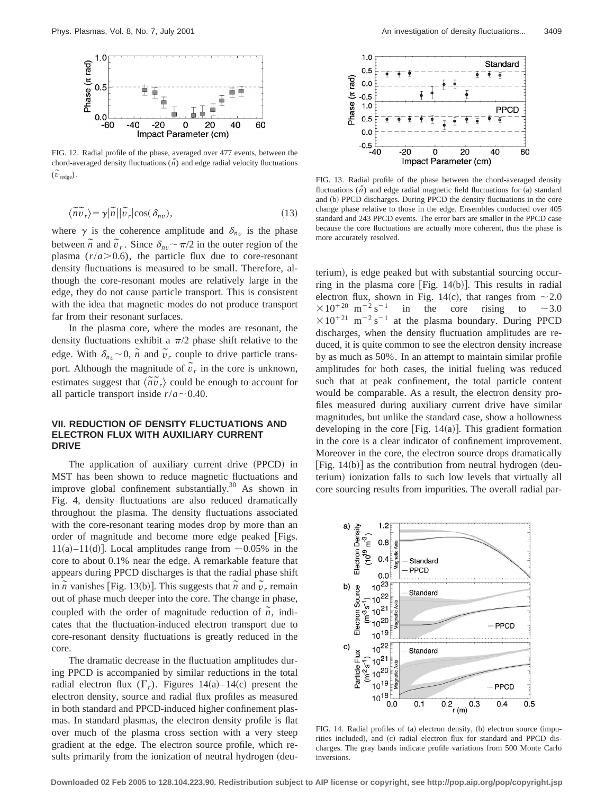

FIG. 12. Radial profile of the phase, averaged over 477 events, between the chord-averaged density fluctuations  $(\bar{n})$  and edge radial velocity fluctuations  $(\tilde{v}_{\text{redge}})$ .

$$
\langle \widetilde{n}\widetilde{v}_r \rangle = \gamma |\widetilde{n}| |\widetilde{v}_r| \cos(\delta_{nv}), \tag{13}
$$

where  $\gamma$  is the coherence amplitude and  $\delta_{nv}$  is the phase between  $\tilde{n}$  and  $\tilde{v}_r$ . Since  $\delta_{nv} \sim \pi/2$  in the outer region of the plasma  $(r/a > 0.6)$ , the particle flux due to core-resonant density fluctuations is measured to be small. Therefore, although the core-resonant modes are relatively large in the edge, they do not cause particle transport. This is consistent with the idea that magnetic modes do not produce transport far from their resonant surfaces.

In the plasma core, where the modes are resonant, the density fluctuations exhibit a  $\pi/2$  phase shift relative to the edge. With  $\delta_{nv}$  ~ 0,  $\tilde{n}$  and  $\tilde{v}_r$  couple to drive particle transport. Although the magnitude of  $\tilde{v}_r$  in the core is unknown, estimates suggest that  $\langle \tilde{n}\tilde{v}_r \rangle$  could be enough to account for all particle transport inside  $r/a \sim 0.40$ .

## **VII. REDUCTION OF DENSITY FLUCTUATIONS AND ELECTRON FLUX WITH AUXILIARY CURRENT DRIVE**

The application of auxiliary current drive (PPCD) in MST has been shown to reduce magnetic fluctuations and improve global confinement substantially.<sup>30</sup> As shown in Fig. 4, density fluctuations are also reduced dramatically throughout the plasma. The density fluctuations associated with the core-resonant tearing modes drop by more than an order of magnitude and become more edge peaked [Figs. 11(a)–11(d)]. Local amplitudes range from  $\sim 0.05\%$  in the core to about 0.1% near the edge. A remarkable feature that appears during PPCD discharges is that the radial phase shift in  $\tilde{n}$  vanishes [Fig. 13(b)]. This suggests that  $\tilde{n}$  and  $\tilde{v}_r$  remain out of phase much deeper into the core. The change in phase, coupled with the order of magnitude reduction of  $\overline{n}$ , indicates that the fluctuation-induced electron transport due to core-resonant density fluctuations is greatly reduced in the core.

The dramatic decrease in the fluctuation amplitudes during PPCD is accompanied by similar reductions in the total radial electron flux  $(\Gamma_r)$ . Figures 14(a)–14(c) present the electron density, source and radial flux profiles as measured in both standard and PPCD-induced higher confinement plasmas. In standard plasmas, the electron density profile is flat over much of the plasma cross section with a very steep gradient at the edge. The electron source profile, which results primarily from the ionization of neutral hydrogen (deu-



FIG. 13. Radial profile of the phase between the chord-averaged density fluctuations  $(\tilde{n})$  and edge radial magnetic field fluctuations for (a) standard and (b) PPCD discharges. During PPCD the density fluctuations in the core change phase relative to those in the edge. Ensembles conducted over 405 standard and 243 PPCD events. The error bars are smaller in the PPCD case because the core fluctuations are actually more coherent, thus the phase is more accurately resolved.

terium), is edge peaked but with substantial sourcing occurring in the plasma core [Fig.  $14(b)$ ]. This results in radial electron flux, shown in Fig. 14(c), that ranges from  $\sim$  2.0  $\times$ 10<sup>+20</sup> m<sup>-2</sup> s<sup>-1</sup> in the core rising to ~3.0  $\times 10^{+21}$  m<sup>-2</sup> s<sup>-1</sup> at the plasma boundary. During PPCD discharges, when the density fluctuation amplitudes are reduced, it is quite common to see the electron density increase by as much as 50%. In an attempt to maintain similar profile amplitudes for both cases, the initial fueling was reduced such that at peak confinement, the total particle content would be comparable. As a result, the electron density profiles measured during auxiliary current drive have similar magnitudes, but unlike the standard case, show a hollowness developing in the core [Fig.  $14(a)$ ]. This gradient formation in the core is a clear indicator of confinement improvement. Moreover in the core, the electron source drops dramatically [Fig.  $14(b)$ ] as the contribution from neutral hydrogen (deuterium) ionization falls to such low levels that virtually all core sourcing results from impurities. The overall radial par-



FIG. 14. Radial profiles of  $(a)$  electron density,  $(b)$  electron source  $(impu$ rities included), and (c) radial electron flux for standard and PPCD discharges. The gray bands indicate profile variations from 500 Monte Carlo inversions.

**Downloaded 02 Feb 2005 to 128.104.223.90. Redistribution subject to AIP license or copyright, see http://pop.aip.org/pop/copyright.jsp**